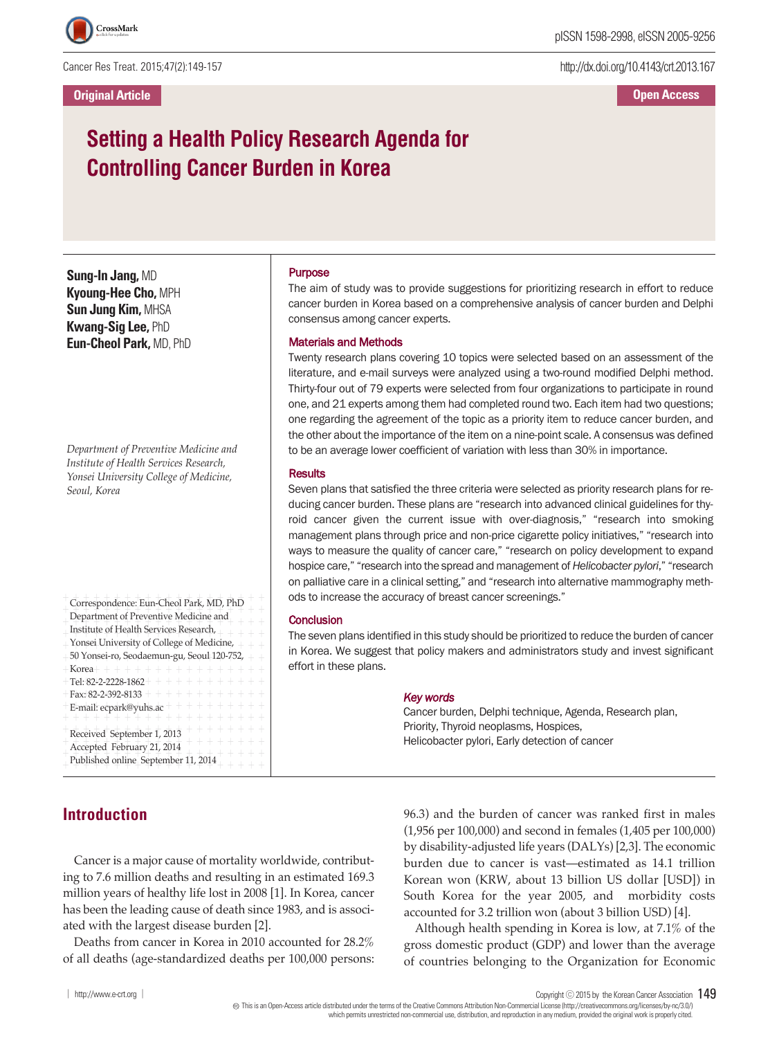Cancer Res Treat. 2015;47(2):149-157

http://dx.doi.org/10.4143/crt.2013.167

**Open Access**

# **Setting a Health Policy Research Agenda for Controlling Cancer Burden in Korea**

**Sung-In Jang,** MD **Kyoung-Hee Cho,** MPH **Sun Jung Kim,** MHSA **Kwang-Sig Lee,** PhD **Eun-Cheol Park,** MD, PhD

*Department of Preventive Medicine and Institute of Health Services Research, Yonsei University College of Medicine, Seoul, Korea*

+ + + + + + + + + + + + + + + + + + + + Correspondence: Eun-Cheol Park, MD, PhD + + + + + + + + + + + + + + + + + + + + Department of Preventive Medicine and + + + + + + + + + + + + + + + + + + + +  $+$  Institute of Health Services Research,  $+$  + + + +  $+$  Yonsei University of College of Medicine,  $++$  $+$  50 Yonsei-ro, Seodaemun-gu, Seoul 120-752,  $\,+\,+\,$  $+$  Korea + + + + + + + + + + + + + + + + + +  $+$  Tel: 82+2-2228-1862+ + + + + + + + + + + +  $+$  Fax: 82-2-392-8133 + + + + + + + + + + + +  $+$  E-mail: ecpark@yuhs.ac  $+$  + + + + + + + + + + + + + + + + + + + + + + + + + + + + +  $+$  Received September 1, 2013  $+$  + + + + + +  $+$  Accepted February 21, 2014  $+$  + + + + + +  $+ + + + +$ <br>Bublished online Contembor 11, 2014  $+$  Published online September 11, 2014  $+$  + + + + Korea

## **Introduction**

#### Purpose

The aim of study was to provide suggestions for prioritizing research in effort to reduce cancer burden in Korea based on a comprehensive analysis of cancer burden and Delphi consensus among cancer experts.

#### Materials and Methods

Twenty research plans covering 10 topics were selected based on an assessment of the literature, and e-mail surveys were analyzed using a two-round modified Delphi method. Thirty-four out of 79 experts were selected from four organizations to participate in round one, and 21 experts among them had completed round two. Each item had two questions; one regarding the agreement of the topic as a priority item to reduce cancer burden, and the other about the importance of the item on a nine-point scale. A consensus was defined to be an average lower coefficient of variation with less than 30% in importance.

#### **Results**

Seven plans that satisfied the three criteria were selected as priority research plans for reducing cancer burden. These plans are "research into advanced clinical guidelines for thyroid cancer given the current issue with over-diagnosis," "research into smoking management plans through price and non-price cigarette policy initiatives," "research into ways to measure the quality of cancer care," "research on policy development to expand hospice care," "research into the spread and management of*Helicobacter pylori*," "research on palliative care in a clinical setting," and "research into alternative mammography methods to increase the accuracy of breast cancer screenings."

#### **Conclusion**

The seven plans identified in this study should be prioritized to reduce the burden of cancer in Korea. We suggest that policy makers and administrators study and invest significant effort in these plans.

#### *Key words*

Cancer burden, Delphi technique, Agenda, Research plan, Priority, Thyroid neoplasms, Hospices, Helicobacter pylori, Early detection of cancer

Cancer is a major cause of mortality worldwide, contributing to 7.6 million deaths and resulting in an estimated 169.3 million years of healthy life lost in 2008 [1]. In Korea, cancer has been the leading cause of death since 1983, and is associated with the largest disease burden [2].

Deaths from cancer in Korea in 2010 accounted for 28.2% of all deaths (age-standardized deaths per 100,000 persons: 96.3) and the burden of cancer was ranked first in males (1,956 per 100,000) and second in females (1,405 per 100,000) by disability-adjusted life years (DALYs) [2,3]. The economic burden due to cancer is vast—estimated as 14.1 trillion Korean won (KRW, about 13 billion US dollar [USD]) in South Korea for the year 2005, and morbidity costs accounted for 3.2 trillion won (about 3 billion USD) [4].

Although health spending in Korea is low, at 7.1% of the gross domestic product (GDP) and lower than the average of countries belonging to the Organization for Economic

│ http://www.e-crt.org │ Copyright ⓒ <sup>2015</sup> by the Korean Cancer Association 149

Thisis an Open-Access article distributed under the terms of the Creative Commons Attribution Non-CommercialLicense (http://creativecommons.org/licenses/by-nc/3.0/)

which permits unrestricted non-commercial use, distribution, and reproduction in any medium, provided the original workis properlycited.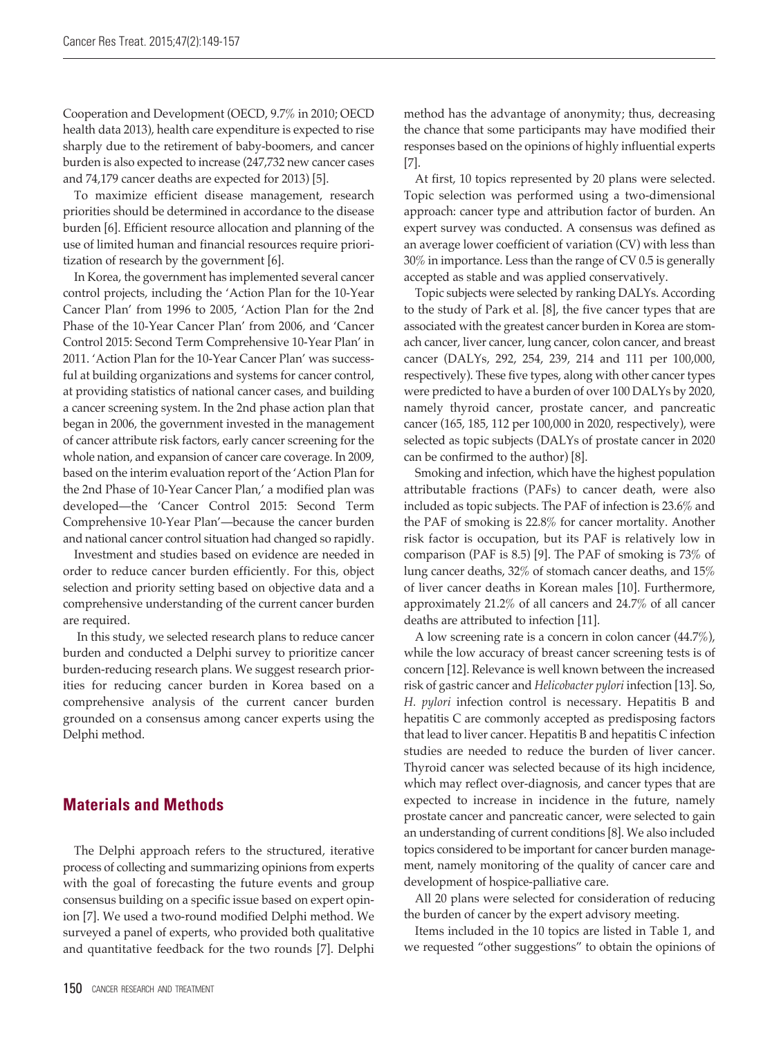Cooperation and Development (OECD, 9.7% in 2010; OECD health data 2013), health care expenditure is expected to rise sharply due to the retirement of baby-boomers, and cancer burden is also expected to increase (247,732 new cancer cases and 74,179 cancer deaths are expected for 2013) [5].

To maximize efficient disease management, research priorities should be determined in accordance to the disease burden [6]. Efficient resource allocation and planning of the use of limited human and financial resources require prioritization of research by the government [6].

In Korea, the government has implemented several cancer control projects, including the 'Action Plan for the 10-Year Cancer Plan' from 1996 to 2005, 'Action Plan for the 2nd Phase of the 10-Year Cancer Plan' from 2006, and 'Cancer Control 2015: Second Term Comprehensive 10-Year Plan' in 2011. 'Action Plan for the 10-Year Cancer Plan' was successful at building organizations and systems for cancer control, at providing statistics of national cancer cases, and building a cancer screening system. In the 2nd phase action plan that began in 2006, the government invested in the management of cancer attribute risk factors, early cancer screening for the whole nation, and expansion of cancer care coverage. In 2009, based on the interim evaluation report of the 'Action Plan for the 2nd Phase of 10-Year Cancer Plan,' a modified plan was developed—the 'Cancer Control 2015: Second Term Comprehensive 10-Year Plan'—because the cancer burden and national cancer control situation had changed so rapidly.

Investment and studies based on evidence are needed in order to reduce cancer burden efficiently. For this, object selection and priority setting based on objective data and a comprehensive understanding of the current cancer burden are required.

In this study, we selected research plans to reduce cancer burden and conducted a Delphi survey to prioritize cancer burden-reducing research plans. We suggest research priorities for reducing cancer burden in Korea based on a comprehensive analysis of the current cancer burden grounded on a consensus among cancer experts using the Delphi method.

## **Materials and Methods**

The Delphi approach refers to the structured, iterative process of collecting and summarizing opinions from experts with the goal of forecasting the future events and group consensus building on a specific issue based on expert opinion [7]. We used a two-round modified Delphi method. We surveyed a panel of experts, who provided both qualitative and quantitative feedback for the two rounds [7]. Delphi

At first, 10 topics represented by 20 plans were selected. Topic selection was performed using a two-dimensional approach: cancer type and attribution factor of burden. An expert survey was conducted. A consensus was defined as an average lower coefficient of variation (CV) with less than 30% in importance. Less than the range of CV 0.5 is generally accepted as stable and was applied conservatively.

Topic subjects were selected by ranking DALYs. According to the study of Park et al. [8], the five cancer types that are associated with the greatest cancer burden in Korea are stomach cancer, liver cancer, lung cancer, colon cancer, and breast cancer (DALYs, 292, 254, 239, 214 and 111 per 100,000, respectively). These five types, along with other cancer types were predicted to have a burden of over 100 DALYs by 2020, namely thyroid cancer, prostate cancer, and pancreatic cancer (165, 185, 112 per 100,000 in 2020, respectively), were selected as topic subjects (DALYs of prostate cancer in 2020 can be confirmed to the author) [8].

Smoking and infection, which have the highest population attributable fractions (PAFs) to cancer death, were also included as topic subjects. The PAF of infection is 23.6% and the PAF of smoking is 22.8% for cancer mortality. Another risk factor is occupation, but its PAF is relatively low in comparison (PAF is 8.5) [9]. The PAF of smoking is 73% of lung cancer deaths, 32% of stomach cancer deaths, and 15% of liver cancer deaths in Korean males [10]. Furthermore, approximately 21.2% of all cancers and 24.7% of all cancer deaths are attributed to infection [11].

A low screening rate is a concern in colon cancer (44.7%), while the low accuracy of breast cancer screening tests is of concern [12]. Relevance is well known between the increased risk of gastric cancer and *Helicobacter pylori* infection [13]. So, *H. pylori* infection control is necessary. Hepatitis B and hepatitis C are commonly accepted as predisposing factors that lead to liver cancer. Hepatitis B and hepatitis C infection studies are needed to reduce the burden of liver cancer. Thyroid cancer was selected because of its high incidence, which may reflect over-diagnosis, and cancer types that are expected to increase in incidence in the future, namely prostate cancer and pancreatic cancer, were selected to gain an understanding of current conditions [8]. We also included topics considered to be important for cancer burden management, namely monitoring of the quality of cancer care and development of hospice-palliative care.

All 20 plans were selected for consideration of reducing the burden of cancer by the expert advisory meeting.

Items included in the 10 topics are listed in Table 1, and we requested "other suggestions" to obtain the opinions of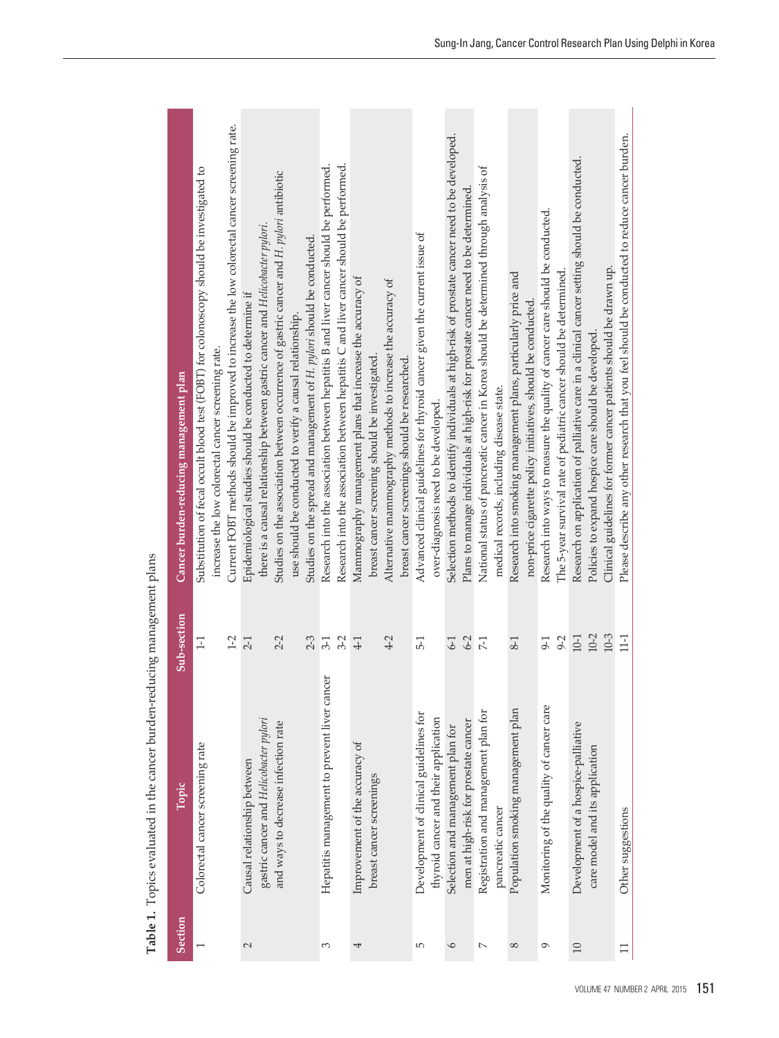| Section         | Topic                                        | Sub-section | Cancer burden-reducing management plan                                                          |
|-----------------|----------------------------------------------|-------------|-------------------------------------------------------------------------------------------------|
|                 | Colorectal cancer screening rate             | $-1$        | Substitution of fecal occult blood test (FOBT) for colonoscopy should be investigated to        |
|                 |                                              |             | increase the low colorectal cancer screening rate.                                              |
|                 |                                              | $1-2$       | Current FOBT methods should be improved to increase the low colorectal cancer screening rate.   |
| 2               | Causal relationship between                  | $2-1$       | Epidemiological studies should be conducted to determine if                                     |
|                 | gastric cancer and Helicobacter pylori       |             | there is a causal relationship between gastric cancer and Helicobacter pylori.                  |
|                 | and ways to decrease infection rate          | $2 - 2$     | Studies on the association between occurrence of gastric cancer and H. pylori antibiotic        |
|                 |                                              |             | use should be conducted to verify a causal relationship.                                        |
|                 |                                              | $2 - 3$     | Studies on the spread and management of H. pylori should be conducted.                          |
| S               | Hepatitis management to prevent liver cancer | $3-1$       | Research into the association between hepatitis B and liver cancer should be performed.         |
|                 |                                              | $3-2$       | Research into the association between hepatitis C and liver cancer should be performed.         |
| 4               | Improvement of the accuracy of               | $4-1$       | Mammography management plans that increase the accuracy of                                      |
|                 | breast cancer screenings                     |             | breast cancer screening should be investigated.                                                 |
|                 |                                              | $4-2$       | Alternative mammography methods to increase the accuracy of                                     |
|                 |                                              |             | breast cancer screenings should be researched.                                                  |
| LO <sub>1</sub> | Development of clinical guidelines for       | $5-1$       | Advanced clinical guidelines for thyroid cancer given the current issue of                      |
|                 | thyroid cancer and their application         |             | over-diagnosis need to be developed.                                                            |
| $\circ$         | Selection and management plan for            | $6-1$       | Selection methods to identify individuals at high-risk of prostate cancer need to be developed. |
|                 | men at high-risk for prostate cancer         | $6-2$       | Plans to manage individuals at high-risk for prostate cancer need to be determined.             |
| $\sim$          | Registration and management plan for         | $7-1$       | National status of pancreatic cancer in Korea should be determined through analysis of          |
|                 | pancreatic cancer                            |             | medical records, including disease state.                                                       |
| $^{\circ}$      | Population smoking management plan           | $8-1$       | Research into smoking management plans, particularly price and                                  |
|                 |                                              |             | non-price cigarette policy initiatives, should be conducted.                                    |
| Q               | Monitoring of the quality of cancer care     | $9-1$       | Research into ways to measure the quality of cancer care should be conducted.                   |
|                 |                                              | $9 - 2$     | The 5-year survival rate of pediatric cancer should be determined.                              |
| $\overline{10}$ | Development of a hospice-palliative          | $10-1$      | Research on application of palliative care in a clinical cancer setting should be conducted.    |
|                 | care model and its application               | $10 - 2$    | Policies to expand hospice care should be developed.                                            |
|                 |                                              | $10 - 3$    | Clinical guidelines for former cancer patients should be drawn up.                              |
| $\Box$          | Other suggestions                            | $1-1$       | Please describe any other research that you feel should be conducted to reduce cancer burden.   |
|                 |                                              |             |                                                                                                 |

**Table 1.** Topics evaluated in the cancer b urden-red ucin g management plans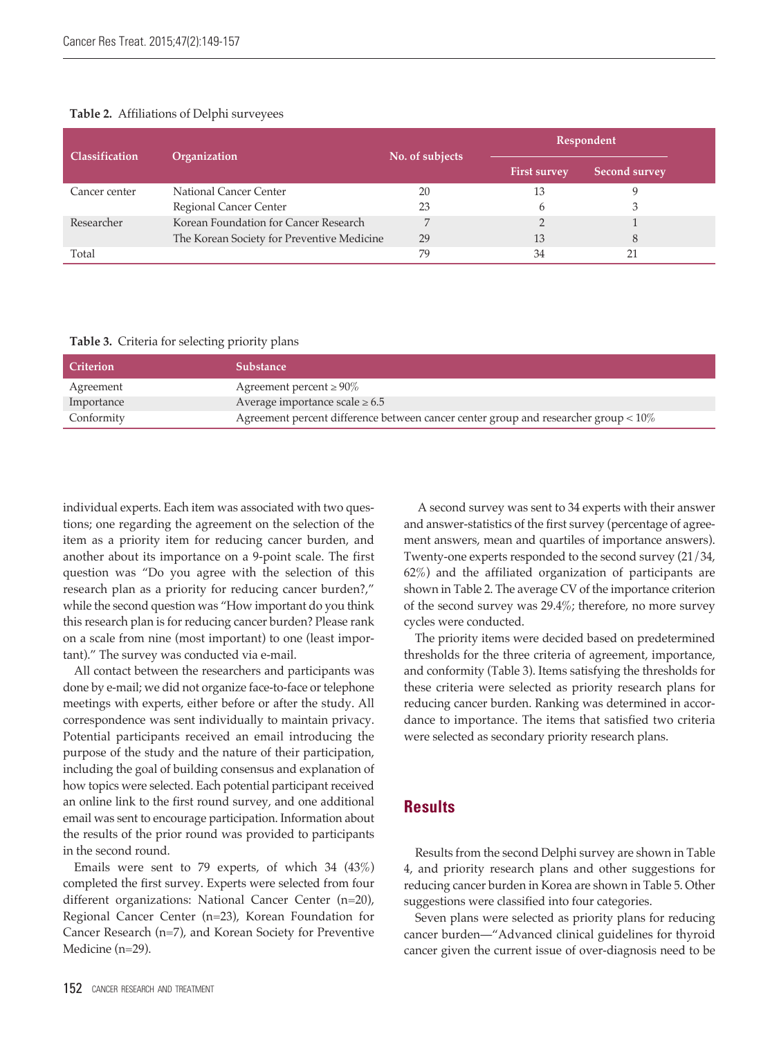#### **Table 2.** Affiliations of Delphi surveyees

| <b>Classification</b> | Organization                               | No. of subjects |                     | Respondent    |  |
|-----------------------|--------------------------------------------|-----------------|---------------------|---------------|--|
|                       |                                            |                 | <b>First survey</b> | Second survey |  |
| Cancer center         | National Cancer Center                     | 20              | 13                  |               |  |
|                       | Regional Cancer Center                     | 23              |                     |               |  |
| Researcher            | Korean Foundation for Cancer Research      | ∍               |                     |               |  |
|                       | The Korean Society for Preventive Medicine | 29              | 13                  | 8             |  |
| Total                 |                                            | 79              | 34                  |               |  |

#### **Table 3.** Criteria for selecting priority plans

| <b>Criterion</b> | <b>Substance</b>                                                                       |
|------------------|----------------------------------------------------------------------------------------|
| Agreement        | Agreement percent $\geq 90\%$                                                          |
| Importance       | Average importance scale $\geq 6.5$                                                    |
| Conformity       | Agreement percent difference between cancer center group and researcher group $< 10\%$ |

individual experts. Each item was associated with two questions; one regarding the agreement on the selection of the item as a priority item for reducing cancer burden, and another about its importance on a 9-point scale. The first question was "Do you agree with the selection of this research plan as a priority for reducing cancer burden?," while the second question was "How important do you think this research plan is for reducing cancer burden? Please rank on a scale from nine (most important) to one (least important)." The survey was conducted via e-mail.

All contact between the researchers and participants was done by e-mail; we did not organize face-to-face or telephone meetings with experts, either before or after the study. All correspondence was sent individually to maintain privacy. Potential participants received an email introducing the purpose of the study and the nature of their participation, including the goal of building consensus and explanation of how topics were selected. Each potential participant received an online link to the first round survey, and one additional email was sent to encourage participation. Information about the results of the prior round was provided to participants in the second round.

Emails were sent to 79 experts, of which 34 (43%) completed the first survey. Experts were selected from four different organizations: National Cancer Center (n=20), Regional Cancer Center (n=23), Korean Foundation for Cancer Research (n=7), and Korean Society for Preventive Medicine (n=29).

A second survey was sent to 34 experts with their answer and answer-statistics of the first survey (percentage of agreement answers, mean and quartiles of importance answers). Twenty-one experts responded to the second survey (21/34, 62%) and the affiliated organization of participants are shown in Table 2. The average CV of the importance criterion of the second survey was 29.4%; therefore, no more survey cycles were conducted.

The priority items were decided based on predetermined thresholds for the three criteria of agreement, importance, and conformity (Table 3). Items satisfying the thresholds for these criteria were selected as priority research plans for reducing cancer burden. Ranking was determined in accordance to importance. The items that satisfied two criteria were selected as secondary priority research plans.

## **Results**

Results from the second Delphi survey are shown in Table 4, and priority research plans and other suggestions for reducing cancer burden in Korea are shown in Table 5. Other suggestions were classified into four categories.

Seven plans were selected as priority plans for reducing cancer burden—"Advanced clinical guidelines for thyroid cancer given the current issue of over-diagnosis need to be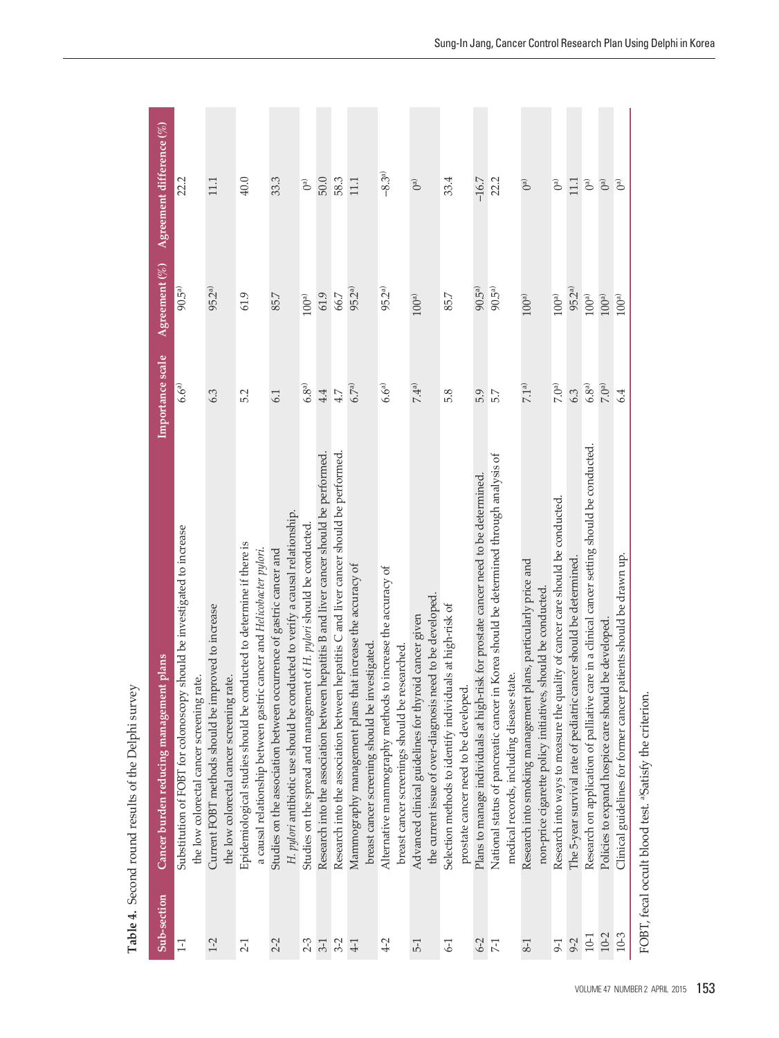| Sub-section | Cancer burden reducing management plans                                                                                                              | Importance scale | Agreement $(\% )^{\dagger}$ | Agreement difference $(\%)$ |
|-------------|------------------------------------------------------------------------------------------------------------------------------------------------------|------------------|-----------------------------|-----------------------------|
| $\Xi$       | Substitution of FOBT for colonoscopy should be investigated to increase<br>the low colorectal cancer screening rate.                                 | $6.6^{a)}$       | $90.5^{a}$                  | 22.2                        |
| $1-2$       | Current FOBT methods should be improved to increase<br>the low colorectal cancer screening rate.                                                     | 6.3              | 95.2 <sup>a)</sup>          | 111                         |
| $2-1$       | Epidemiological studies should be conducted to determine if there is<br>a causal relationship between gastric cancer and Helicobacter pylori.        | 5.2              | 61.9                        | 40.0                        |
| $2-2$       | H. pylori antibiotic use should be conducted to verify a causal relationship.<br>Studies on the association between occurrence of gastric cancer and | 6.1              | 85.7                        | 33.3                        |
| $2-3$       | Studies on the spread and management of H. pylori should be conducted.                                                                               | $6.8^{a)}$       | 100 <sup>a</sup>            | $\mathbb{G}^{\mathbb{d}}$   |
| $3-1$       | Research into the association between hepatitis B and liver cancer should be performed.                                                              | 4.4              | 61.9                        | $50.0$                      |
| $3-2$       | Research into the association between hepatitis C and liver cancer should be performed.                                                              | $4.7$            | 66.7                        | 58.3                        |
| $4-1$       | Mammography management plans that increase the accuracy of<br>breast cancer screening should be investigated.                                        | 6.7a)            | $95.2^{a}$                  | 11.1                        |
| $4-2$       | Alternative mammography methods to increase the accuracy of<br>breast cancer screenings should be researched.                                        | $6.6^{a)}$       | $95.2^{a)}$                 | $-8.3^{a}$                  |
| $5-1$       | the current issue of over-diagnosis need to be developed<br>Advanced clinical guidelines for thyroid cancer given                                    | 7.4 <sup>a</sup> | 100 <sup>a</sup>            | $\mathbb{R}^2$              |
| $6-1$       | Selection methods to identify individuals at high-risk of<br>prostate cancer need to be developed.                                                   | 5.8              | 85.7                        | 33.4                        |
| $6-2$       | Plans to manage individuals at high-risk for prostate cancer need to be determined.                                                                  | 5.9              | $90.5^{a}$                  | $-16.7$                     |
| $7-1$       | in Korea should be determined through analysis of<br>state.<br>National status of pancreatic cancer<br>medical records, including disease            | 5.7              | $90.5^{a}$                  | 22.2                        |
| $8-1$       | Research into smoking management plans, particularly price and<br>non-price cigarette policy initiatives, should be conducted.                       | 7.1 <sup>a</sup> | $100a$                      | $\mathbb{D}^{(n)}$          |
| $9-1$       | Research into ways to measure the quality of cancer care should be conducted.                                                                        | $7.0a$           | 100 <sup>a</sup>            | $\mathbb{B}$                |
| $9 - 2$     | The 5-year survival rate of pediatric cancer should be determined.                                                                                   | 6.3              | 95.2 <sup>a)</sup>          | 111                         |
| $10-1$      | Research on application of palliative care in a clinical cancer setting should be conducted.                                                         | $6.8^{\rm a)}$   | $100a$                      | $\mathbb{B}^{\mathbb{D}}$   |
| $10 - 2$    | Policies to expand hospice care should be developed.                                                                                                 | 7.0 <sup>a</sup> | $100^{\rm a)}$              | $\widehat{\mathbb{C}}$      |
| $10 - 3$    | Clinical guidelines for former cancer patients should be drawn up.                                                                                   | 6.4              | 100 <sup>a</sup>            | $\widehat{C}$               |
|             | FOBT, fecal occult blood test. <sup>a)</sup> Satisfy the criterion                                                                                   |                  |                             |                             |

**Table 4.** Secon d rou n d results of the Delp hi survey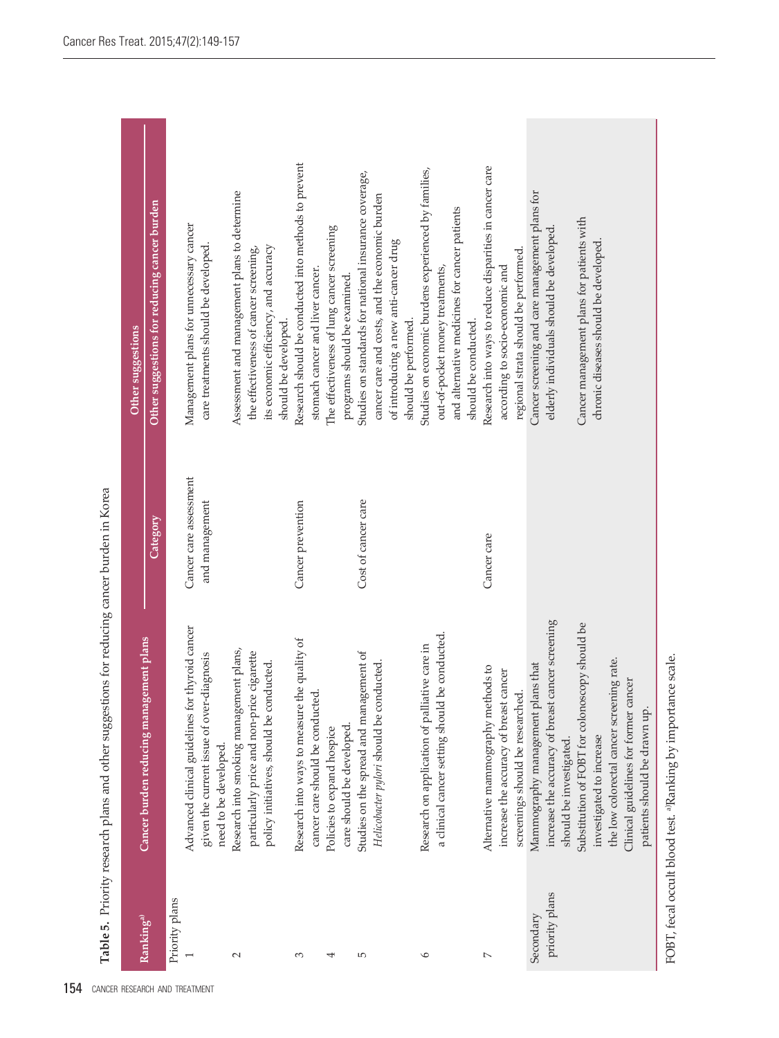Table 5. Priority research plans and other suggestions for reducing cancer burden in Korea **Table 5.** Priority research plans and other suggestions for reducing cancer burden in Korea

| Ranking <sup>a)</sup> | Cancer burden reducing management plans                                     |                                          | Other suggestions                                                          |
|-----------------------|-----------------------------------------------------------------------------|------------------------------------------|----------------------------------------------------------------------------|
|                       |                                                                             | Category                                 | Other suggestions for reducing cancer burden                               |
| Priority plans        | Advanced clinical guidelines for thyroid cancer                             |                                          | Management plans for unnecessary cancer                                    |
|                       | given the current issue of over-diagnosis<br>need to be developed.          | Cancer care assessment<br>and management | care treatments should be developed.                                       |
| $\sim$                | Research into smoking management plans,                                     |                                          | Assessment and management plans to determine                               |
|                       | particularly price and non-price cigarette                                  |                                          | the effectiveness of cancer screening,                                     |
|                       | policy initiatives, should be conducted.                                    |                                          | its economic efficiency, and accuracy<br>should be developed.              |
| S                     | Research into ways to measure the quality of                                | Cancer prevention                        | Research should be conducted into methods to prevent                       |
|                       | cancer care should be conducted.                                            |                                          | stomach cancer and liver cancer.                                           |
| ↤                     | care should be developed.<br>Policies to expand hospice                     |                                          | The effectiveness of lung cancer screening<br>programs should be examined. |
| Б                     | Studies on the spread and management of                                     | Cost of cancer care                      | Studies on standards for national insurance coverage,                      |
|                       | Helicobacter pylori should be conducted.                                    |                                          | cancer care and costs, and the economic burden                             |
|                       |                                                                             |                                          | of introducing a new anti-cancer drug                                      |
|                       |                                                                             |                                          | should be performed.                                                       |
| $\circ$               | Research on application of palliative care in                               |                                          | Studies on economic burdens experienced by families,                       |
|                       | a clinical cancer setting should be conducted.                              |                                          | out-of-pocket money treatments,                                            |
|                       |                                                                             |                                          | and alternative medicines for cancer patients                              |
|                       |                                                                             |                                          | should be conducted.                                                       |
| $\sim$                | Alternative mammography methods to                                          | Cancer care                              | Research into ways to reduce disparities in cancer care                    |
|                       | increase the accuracy of breast cancer                                      |                                          | according to socio-economic and                                            |
|                       | screenings should be researched.                                            |                                          | regional strata should be performed.                                       |
| Secondary             | Mammography management plans that                                           |                                          | Cancer screening and care management plans for                             |
| priority plans        | increase the accuracy of breast cancer screening<br>should be investigated. |                                          | elderly individuals should be developed                                    |
|                       | Substitution of FOBT for colonoscopy should be                              |                                          | Cancer management plans for patients with                                  |
|                       | investigated to increase                                                    |                                          | chronic diseases should be developed                                       |
|                       | the low colorectal cancer screening rate.                                   |                                          |                                                                            |
|                       | Clinical guidelines for former cancer                                       |                                          |                                                                            |
|                       | patients should be drawn up.                                                |                                          |                                                                            |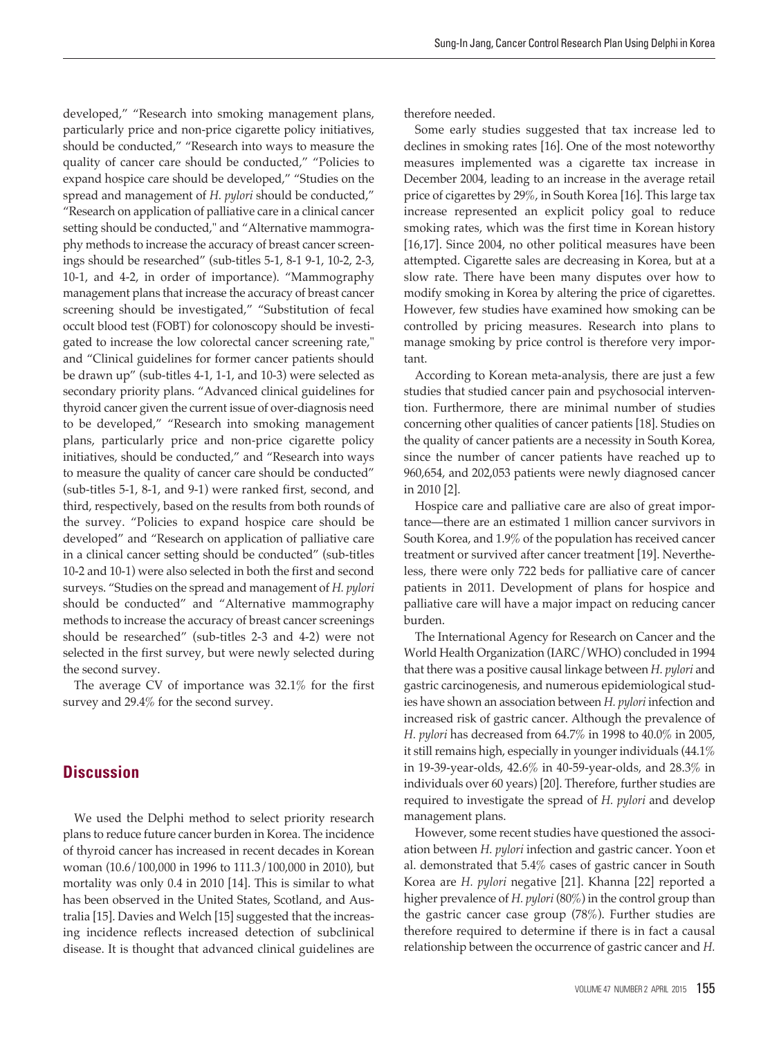developed," "Research into smoking management plans, particularly price and non-price cigarette policy initiatives, should be conducted," "Research into ways to measure the quality of cancer care should be conducted," "Policies to expand hospice care should be developed," "Studies on the spread and management of *H. pylori* should be conducted," "Research on application of palliative care in a clinical cancer setting should be conducted," and "Alternative mammography methods to increase the accuracy of breast cancer screenings should be researched" (sub-titles 5-1, 8-1 9-1, 10-2, 2-3, 10-1, and 4-2, in order of importance). "Mammography management plans that increase the accuracy of breast cancer screening should be investigated," "Substitution of fecal occult blood test (FOBT) for colonoscopy should be investigated to increase the low colorectal cancer screening rate," and "Clinical guidelines for former cancer patients should be drawn up" (sub-titles 4-1, 1-1, and 10-3) were selected as secondary priority plans. "Advanced clinical guidelines for thyroid cancer given the current issue of over-diagnosis need to be developed," "Research into smoking management plans, particularly price and non-price cigarette policy initiatives, should be conducted," and "Research into ways to measure the quality of cancer care should be conducted" (sub-titles 5-1, 8-1, and 9-1) were ranked first, second, and third, respectively, based on the results from both rounds of the survey. "Policies to expand hospice care should be developed" and "Research on application of palliative care in a clinical cancer setting should be conducted" (sub-titles 10-2 and 10-1) were also selected in both the first and second surveys. "Studies on the spread and management of *H. pylori* should be conducted" and "Alternative mammography methods to increase the accuracy of breast cancer screenings should be researched" (sub-titles 2-3 and 4-2) were not selected in the first survey, but were newly selected during the second survey.

The average CV of importance was 32.1% for the first survey and 29.4% for the second survey.

## **Discussion**

We used the Delphi method to select priority research plans to reduce future cancer burden in Korea. The incidence of thyroid cancer has increased in recent decades in Korean woman (10.6/100,000 in 1996 to 111.3/100,000 in 2010), but mortality was only 0.4 in 2010 [14]. This is similar to what has been observed in the United States, Scotland, and Australia [15]. Davies and Welch [15] suggested that the increasing incidence reflects increased detection of subclinical disease. It is thought that advanced clinical guidelines are

therefore needed.

Some early studies suggested that tax increase led to declines in smoking rates [16]. One of the most noteworthy measures implemented was a cigarette tax increase in December 2004, leading to an increase in the average retail price of cigarettes by 29%, in South Korea [16]. This large tax increase represented an explicit policy goal to reduce smoking rates, which was the first time in Korean history [16,17]. Since 2004, no other political measures have been attempted. Cigarette sales are decreasing in Korea, but at a slow rate. There have been many disputes over how to modify smoking in Korea by altering the price of cigarettes. However, few studies have examined how smoking can be controlled by pricing measures. Research into plans to manage smoking by price control is therefore very important.

According to Korean meta-analysis, there are just a few studies that studied cancer pain and psychosocial intervention. Furthermore, there are minimal number of studies concerning other qualities of cancer patients [18]. Studies on the quality of cancer patients are a necessity in South Korea, since the number of cancer patients have reached up to 960,654, and 202,053 patients were newly diagnosed cancer in 2010 [2].

Hospice care and palliative care are also of great importance—there are an estimated 1 million cancer survivors in South Korea, and 1.9% of the population has received cancer treatment or survived after cancer treatment [19]. Nevertheless, there were only 722 beds for palliative care of cancer patients in 2011. Development of plans for hospice and palliative care will have a major impact on reducing cancer burden.

The International Agency for Research on Cancer and the World Health Organization (IARC/WHO) concluded in 1994 that there was a positive causal linkage between *H. pylori* and gastric carcinogenesis, and numerous epidemiological studies have shown an association between *H. pylori* infection and increased risk of gastric cancer. Although the prevalence of *H. pylori* has decreased from 64.7% in 1998 to 40.0% in 2005, it still remains high, especially in younger individuals (44.1% in 19-39-year-olds, 42.6% in 40-59-year-olds, and 28.3% in individuals over 60 years) [20]. Therefore, further studies are required to investigate the spread of *H. pylori* and develop management plans.

However, some recent studies have questioned the association between *H. pylori* infection and gastric cancer. Yoon et al. demonstrated that 5.4% cases of gastric cancer in South Korea are *H. pylori* negative [21]. Khanna [22] reported a higher prevalence of *H. pylori* (80%) in the control group than the gastric cancer case group (78%). Further studies are therefore required to determine if there is in fact a causal relationship between the occurrence of gastric cancer and *H.*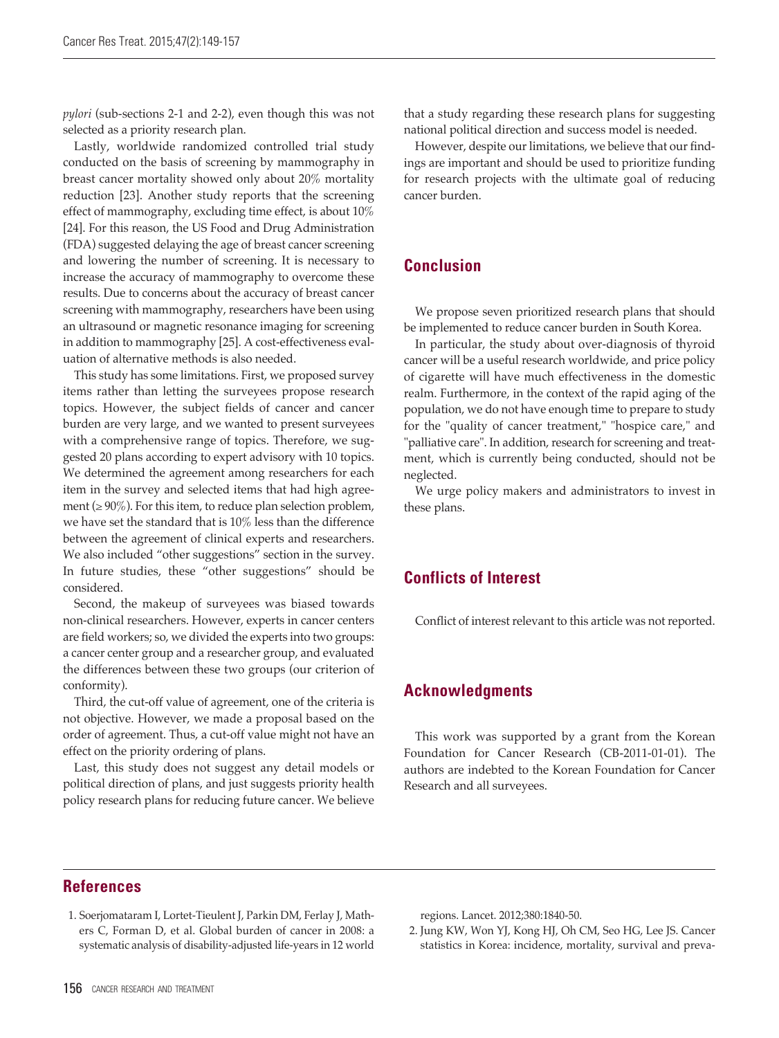*pylori* (sub-sections 2-1 and 2-2), even though this was not selected as a priority research plan.

Lastly, worldwide randomized controlled trial study conducted on the basis of screening by mammography in breast cancer mortality showed only about 20% mortality reduction [23]. Another study reports that the screening effect of mammography, excluding time effect, is about 10% [24]. For this reason, the US Food and Drug Administration (FDA) suggested delaying the age of breast cancer screening and lowering the number of screening. It is necessary to increase the accuracy of mammography to overcome these results. Due to concerns about the accuracy of breast cancer screening with mammography, researchers have been using an ultrasound or magnetic resonance imaging for screening in addition to mammography [25]. A cost-effectiveness evaluation of alternative methods is also needed.

This study has some limitations. First, we proposed survey items rather than letting the surveyees propose research topics. However, the subject fields of cancer and cancer burden are very large, and we wanted to present surveyees with a comprehensive range of topics. Therefore, we suggested 20 plans according to expert advisory with 10 topics. We determined the agreement among researchers for each item in the survey and selected items that had high agreement ( $\geq 90\%$ ). For this item, to reduce plan selection problem, we have set the standard that is 10% less than the difference between the agreement of clinical experts and researchers. We also included "other suggestions" section in the survey. In future studies, these "other suggestions" should be considered.

Second, the makeup of surveyees was biased towards non-clinical researchers. However, experts in cancer centers are field workers; so, we divided the experts into two groups: a cancer center group and a researcher group, and evaluated the differences between these two groups (our criterion of conformity).

Third, the cut-off value of agreement, one of the criteria is not objective. However, we made a proposal based on the order of agreement. Thus, a cut-off value might not have an effect on the priority ordering of plans.

Last, this study does not suggest any detail models or political direction of plans, and just suggests priority health policy research plans for reducing future cancer. We believe

that a study regarding these research plans for suggesting national political direction and success model is needed.

However, despite our limitations, we believe that our findings are important and should be used to prioritize funding for research projects with the ultimate goal of reducing cancer burden.

## **Conclusion**

We propose seven prioritized research plans that should be implemented to reduce cancer burden in South Korea.

In particular, the study about over-diagnosis of thyroid cancer will be a useful research worldwide, and price policy of cigarette will have much effectiveness in the domestic realm. Furthermore, in the context of the rapid aging of the population, we do not have enough time to prepare to study for the "quality of cancer treatment," "hospice care," and "palliative care". In addition, research for screening and treatment, which is currently being conducted, should not be neglected.

We urge policy makers and administrators to invest in these plans.

## **Conflicts of Interest**

Conflict of interest relevant to this article was not reported.

## **Acknowledgments**

This work was supported by a grant from the Korean Foundation for Cancer Research (CB-2011-01-01). The authors are indebted to the Korean Foundation for Cancer Research and all surveyees.

## **References**

1. Soerjomataram I, Lortet-Tieulent J, Parkin DM, Ferlay J, Mathers C, Forman D, et al. Global burden of cancer in 2008: a systematic analysis of disability-adjusted life-years in 12 world regions. Lancet. 2012;380:1840-50.

2. Jung KW, Won YJ, Kong HJ, Oh CM, Seo HG, Lee JS. Cancer statistics in Korea: incidence, mortality, survival and preva